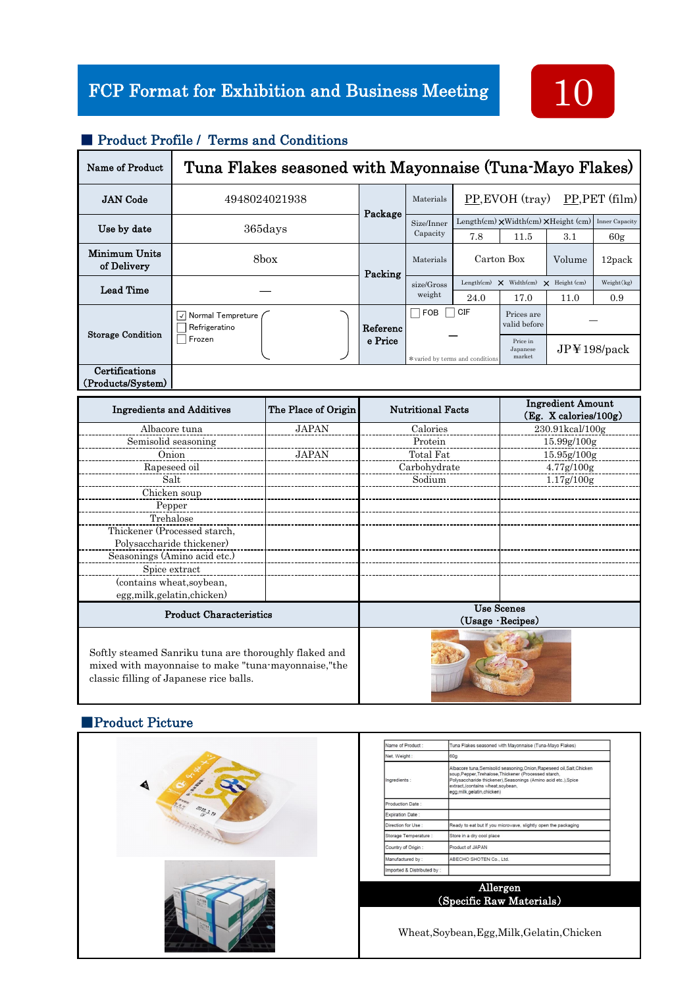

| Name of Product                     | Tuna Flakes seasoned with Mayonnaise (Tuna-Mayo Flakes) |          |                                 |                                   |                                                            |                     |                       |
|-------------------------------------|---------------------------------------------------------|----------|---------------------------------|-----------------------------------|------------------------------------------------------------|---------------------|-----------------------|
| <b>JAN</b> Code                     | 4948024021938                                           | Package  | Materials                       | PP, PET (film)<br>PP, EVOH (tray) |                                                            |                     |                       |
| Use by date                         | 365days                                                 |          | Size/Inner<br>Capacity          | 7.8                               | Length(cm) $\times$ Width(cm) $\times$ Height (cm)<br>11.5 | 3.1                 | Inner Capacity<br>60g |
| Minimum Units<br>of Delivery        | 8box<br>Materials<br>Packing                            |          |                                 | Carton Box                        |                                                            | Volume              | 12pack                |
| Lead Time                           |                                                         |          | size/Gross<br>weight            |                                   | Length(cm) $\times$ Width(cm) $\times$ Height (cm)         |                     | Weight(kg)            |
|                                     |                                                         |          |                                 | 24.0                              | 17.0                                                       | 11.0                | 0.9                   |
| <b>Storage Condition</b>            | Normal Tempreture<br>$\checkmark$<br>Refrigeratino      | Referenc | CIF<br><b>FOB</b>               |                                   | Prices are<br>valid before                                 |                     |                       |
|                                     | Frozen<br>e Price                                       |          | *varied by terms and conditions |                                   | Price in<br>Japanese<br>market                             | $JP$ $\pm$ 198/pack |                       |
| Certifications<br>(Products/System) |                                                         |          |                                 |                                   |                                                            |                     |                       |

#### ■ Product Profile / Terms and Conditions

| <b>Ingredients and Additives</b>                                                                                                                         | The Place of Origin | <b>Nutritional Facts</b>             | <b>Ingredient Amount</b><br>(Eg. X calories/100g) |  |  |  |
|----------------------------------------------------------------------------------------------------------------------------------------------------------|---------------------|--------------------------------------|---------------------------------------------------|--|--|--|
| Albacore tuna                                                                                                                                            | <b>JAPAN</b>        | Calories                             | 230.91kcal/100g                                   |  |  |  |
| Semisolid seasoning                                                                                                                                      |                     | Protein                              | 15.99g/100g                                       |  |  |  |
| Onion                                                                                                                                                    | <b>JAPAN</b>        | Total Fat                            | 15.95g/100g                                       |  |  |  |
| Rapeseed oil                                                                                                                                             |                     | Carbohydrate                         | $4.77$ g/100g                                     |  |  |  |
| Salt                                                                                                                                                     |                     | Sodium                               | 1.17g/100g                                        |  |  |  |
| Chicken soup                                                                                                                                             |                     |                                      |                                                   |  |  |  |
| Pepper                                                                                                                                                   |                     |                                      |                                                   |  |  |  |
| Trehalose                                                                                                                                                |                     |                                      |                                                   |  |  |  |
| Thickener (Processed starch,                                                                                                                             |                     |                                      |                                                   |  |  |  |
| Polysaccharide thickener)                                                                                                                                |                     |                                      |                                                   |  |  |  |
| Seasonings (Amino acid etc.)                                                                                                                             |                     |                                      |                                                   |  |  |  |
| Spice extract                                                                                                                                            |                     |                                      |                                                   |  |  |  |
| (contains wheat, soybean,                                                                                                                                |                     |                                      |                                                   |  |  |  |
| egg, milk, gelatin, chicken)                                                                                                                             |                     |                                      |                                                   |  |  |  |
| <b>Product Characteristics</b>                                                                                                                           |                     | <b>Use Scenes</b><br>(Usage Recipes) |                                                   |  |  |  |
| Softly steamed Sanriku tuna are thoroughly flaked and<br>mixed with mayonnaise to make "tuna-mayonnaise," the<br>classic filling of Japanese rice balls. |                     |                                      |                                                   |  |  |  |

### ■Product Picture